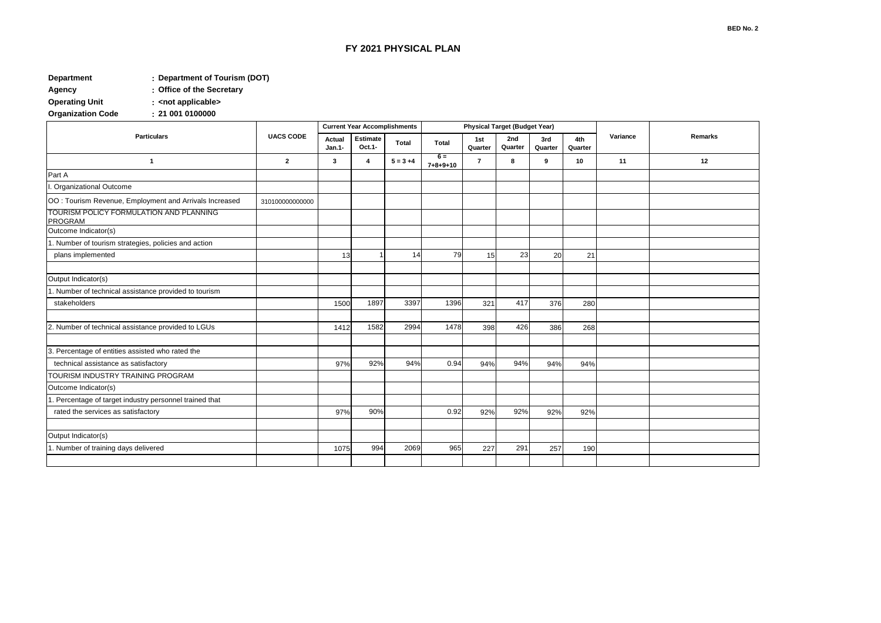## **FY 2021 PHYSICAL PLAN**

## **: Department Department of Tourism (DOT)**

**: Agency Office of the Secretary**

**: Operating Unit <not applicable>**

**: Organization Code** 

|                                                        | <b>UACS CODE</b> | <b>Current Year Accomplishments</b> |                    |             | <b>Physical Target (Budget Year)</b> |                |                |                |                |          |         |
|--------------------------------------------------------|------------------|-------------------------------------|--------------------|-------------|--------------------------------------|----------------|----------------|----------------|----------------|----------|---------|
| <b>Particulars</b>                                     |                  | Actual<br>Jan.1-                    | Estimate<br>Oct.1- | Total       | Total                                | 1st<br>Quarter | 2nd<br>Quarter | 3rd<br>Quarter | 4th<br>Quarter | Variance | Remarks |
| $\mathbf{1}$                                           | $\mathbf{2}$     | $\mathbf{3}$                        | 4                  | $5 = 3 + 4$ | $6 =$<br>$7 + 8 + 9 + 10$            | $\overline{7}$ | 8              | 9              | 10             | 11       | 12      |
| Part A                                                 |                  |                                     |                    |             |                                      |                |                |                |                |          |         |
| . Organizational Outcome                               |                  |                                     |                    |             |                                      |                |                |                |                |          |         |
| OO: Tourism Revenue, Employment and Arrivals Increased | 310100000000000  |                                     |                    |             |                                      |                |                |                |                |          |         |
| TOURISM POLICY FORMULATION AND PLANNING<br>PROGRAM     |                  |                                     |                    |             |                                      |                |                |                |                |          |         |
| Outcome Indicator(s)                                   |                  |                                     |                    |             |                                      |                |                |                |                |          |         |
| 1. Number of tourism strategies, policies and action   |                  |                                     |                    |             |                                      |                |                |                |                |          |         |
| plans implemented                                      |                  | 13                                  |                    | 14          | 79                                   | 15             | 23             | 20             | 21             |          |         |
|                                                        |                  |                                     |                    |             |                                      |                |                |                |                |          |         |
| Output Indicator(s)                                    |                  |                                     |                    |             |                                      |                |                |                |                |          |         |
| . Number of technical assistance provided to tourism   |                  |                                     |                    |             |                                      |                |                |                |                |          |         |
| stakeholders                                           |                  | 1500                                | 1897               | 3397        | 1396                                 | 321            | 417            | 376            | 280            |          |         |
|                                                        |                  |                                     |                    |             |                                      |                |                |                |                |          |         |
| 2. Number of technical assistance provided to LGUs     |                  | 1412                                | 1582               | 2994        | 1478                                 | 398            | 426            | 386            | 268            |          |         |
|                                                        |                  |                                     |                    |             |                                      |                |                |                |                |          |         |
| Percentage of entities assisted who rated the<br>3     |                  |                                     |                    |             |                                      |                |                |                |                |          |         |
| technical assistance as satisfactory                   |                  | 97%                                 | 92%                | 94%         | 0.94                                 | 94%            | 94%            | 94%            | 94%            |          |         |
| TOURISM INDUSTRY TRAINING PROGRAM                      |                  |                                     |                    |             |                                      |                |                |                |                |          |         |
| Outcome Indicator(s)                                   |                  |                                     |                    |             |                                      |                |                |                |                |          |         |
| . Percentage of target industry personnel trained that |                  |                                     |                    |             |                                      |                |                |                |                |          |         |
| rated the services as satisfactory                     |                  | 97%                                 | 90%                |             | 0.92                                 | 92%            | 92%            | 92%            | 92%            |          |         |
|                                                        |                  |                                     |                    |             |                                      |                |                |                |                |          |         |
| Output Indicator(s)                                    |                  |                                     |                    |             |                                      |                |                |                |                |          |         |
| 1. Number of training days delivered                   |                  | 1075                                | 994                | 2069        | 965                                  | 227            | 291            | 257            | 190            |          |         |
|                                                        |                  |                                     |                    |             |                                      |                |                |                |                |          |         |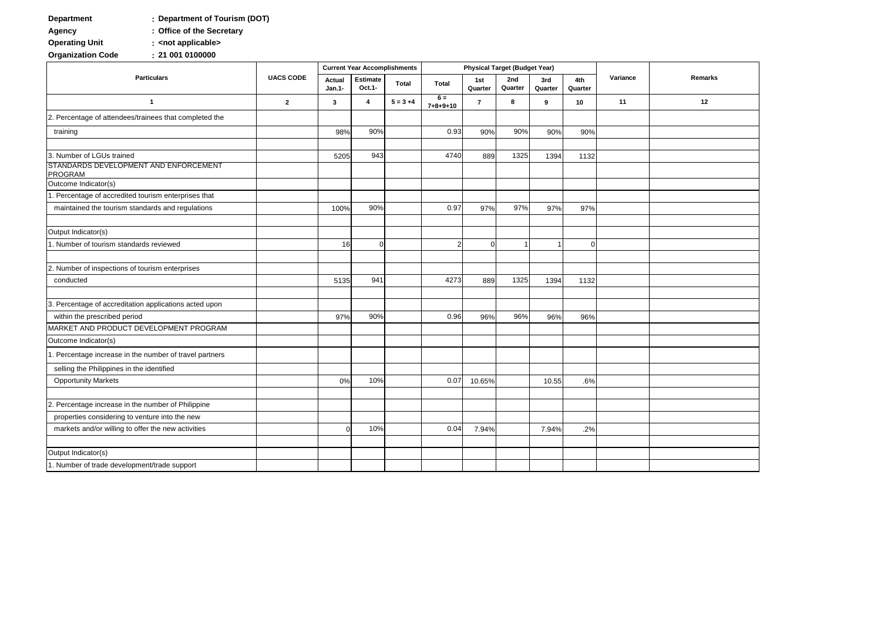## **: Department Department of Tourism (DOT)**

**: Agency Office of the Secretary**

**: Operating Unit <not applicable>**

**: Organization Code** 

| <b>Particulars</b>                                                                   | <b>UACS CODE</b> | <b>Current Year Accomplishments</b> |                    |             | <b>Physical Target (Budget Year)</b> |                |                |                |                |          |         |
|--------------------------------------------------------------------------------------|------------------|-------------------------------------|--------------------|-------------|--------------------------------------|----------------|----------------|----------------|----------------|----------|---------|
|                                                                                      |                  | Actual<br>Jan.1-                    | Estimate<br>Oct.1- | Total       | <b>Total</b>                         | 1st<br>Quarter | 2nd<br>Quarter | 3rd<br>Quarter | 4th<br>Quarter | Variance | Remarks |
| $\mathbf{1}$                                                                         | $\overline{2}$   | $\mathbf{3}$                        | 4                  | $5 = 3 + 4$ | $6 =$<br>$7 + 8 + 9 + 10$            | $\overline{7}$ | 8              | 9              | 10             | 11       | 12      |
| 2. Percentage of attendees/trainees that completed the                               |                  |                                     |                    |             |                                      |                |                |                |                |          |         |
| training                                                                             |                  | 98%                                 | 90%                |             | 0.93                                 | 90%            | 90%            | 90%            | 90%            |          |         |
|                                                                                      |                  |                                     |                    |             |                                      |                |                |                |                |          |         |
| 3. Number of LGUs trained<br>STANDARDS DEVELOPMENT AND ENFORCEMENT<br><b>PROGRAM</b> |                  | 5205                                | 943                |             | 4740                                 | 889            | 1325           | 1394           | 1132           |          |         |
| Outcome Indicator(s)                                                                 |                  |                                     |                    |             |                                      |                |                |                |                |          |         |
| 1. Percentage of accredited tourism enterprises that                                 |                  |                                     |                    |             |                                      |                |                |                |                |          |         |
| maintained the tourism standards and regulations                                     |                  | 100%                                | 90%                |             | 0.97                                 | 97%            | 97%            | 97%            | 97%            |          |         |
|                                                                                      |                  |                                     |                    |             |                                      |                |                |                |                |          |         |
| Output Indicator(s)                                                                  |                  |                                     |                    |             |                                      |                |                |                |                |          |         |
| 1. Number of tourism standards reviewed                                              |                  | 16                                  | $\Omega$           |             | 2                                    | $\Omega$       |                |                | $\Omega$       |          |         |
| 2. Number of inspections of tourism enterprises                                      |                  |                                     |                    |             |                                      |                |                |                |                |          |         |
| conducted                                                                            |                  | 5135                                | 941                |             | 4273                                 | 889            | 1325           | 1394           | 1132           |          |         |
|                                                                                      |                  |                                     |                    |             |                                      |                |                |                |                |          |         |
| 3. Percentage of accreditation applications acted upon                               |                  |                                     |                    |             |                                      |                |                |                |                |          |         |
| within the prescribed period                                                         |                  | 97%                                 | 90%                |             | 0.96                                 | 96%            | 96%            | 96%            | 96%            |          |         |
| MARKET AND PRODUCT DEVELOPMENT PROGRAM                                               |                  |                                     |                    |             |                                      |                |                |                |                |          |         |
| Outcome Indicator(s)                                                                 |                  |                                     |                    |             |                                      |                |                |                |                |          |         |
| 1. Percentage increase in the number of travel partners                              |                  |                                     |                    |             |                                      |                |                |                |                |          |         |
| selling the Philippines in the identified                                            |                  |                                     |                    |             |                                      |                |                |                |                |          |         |
| <b>Opportunity Markets</b>                                                           |                  | 0%                                  | 10%                |             | 0.07                                 | 10.65%         |                | 10.55          | .6%            |          |         |
| 2. Percentage increase in the number of Philippine                                   |                  |                                     |                    |             |                                      |                |                |                |                |          |         |
| properties considering to venture into the new                                       |                  |                                     |                    |             |                                      |                |                |                |                |          |         |
| markets and/or willing to offer the new activities                                   |                  | C                                   | 10%                |             | 0.04                                 | 7.94%          |                | 7.94%          | .2%            |          |         |
|                                                                                      |                  |                                     |                    |             |                                      |                |                |                |                |          |         |
| Output Indicator(s)                                                                  |                  |                                     |                    |             |                                      |                |                |                |                |          |         |
| 1. Number of trade development/trade support                                         |                  |                                     |                    |             |                                      |                |                |                |                |          |         |